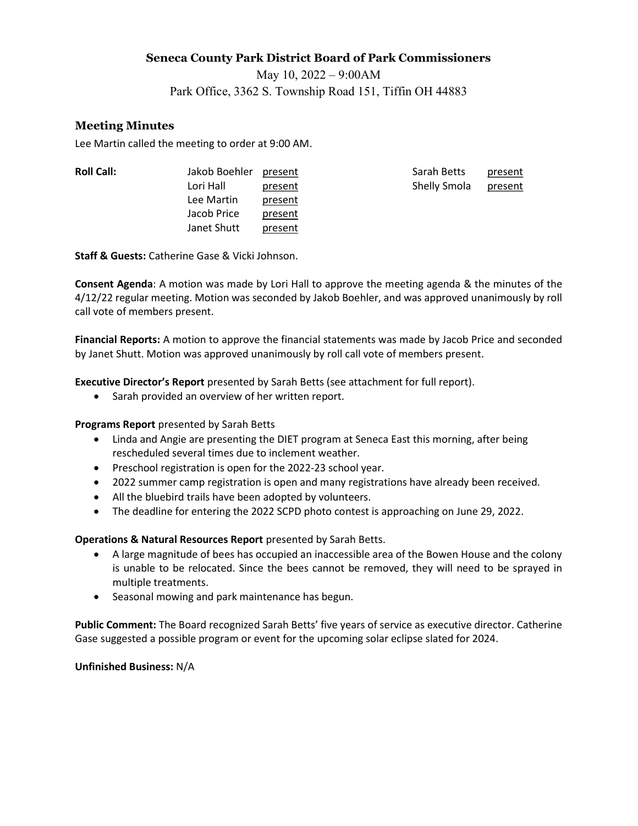### Seneca County Park District Board of Park Commissioners

May 10, 2022 – 9:00AM

Park Office, 3362 S. Township Road 151, Tiffin OH 44883

# Meeting Minutes

Lee Martin called the meeting to order at 9:00 AM.

| <b>Roll Call:</b> |  |  |
|-------------------|--|--|
|                   |  |  |

Jakob Boehler present and Sarah Betts present Lee Martin present Jacob Price present Janet Shutt present

Lori Hall **present Shelly Smola present** 

Staff & Guests: Catherine Gase & Vicki Johnson.

Consent Agenda: A motion was made by Lori Hall to approve the meeting agenda & the minutes of the 4/12/22 regular meeting. Motion was seconded by Jakob Boehler, and was approved unanimously by roll call vote of members present.

Financial Reports: A motion to approve the financial statements was made by Jacob Price and seconded by Janet Shutt. Motion was approved unanimously by roll call vote of members present.

Executive Director's Report presented by Sarah Betts (see attachment for full report).

• Sarah provided an overview of her written report.

## Programs Report presented by Sarah Betts

- Linda and Angie are presenting the DIET program at Seneca East this morning, after being rescheduled several times due to inclement weather.
- Preschool registration is open for the 2022-23 school year.
- 2022 summer camp registration is open and many registrations have already been received.
- All the bluebird trails have been adopted by volunteers.
- The deadline for entering the 2022 SCPD photo contest is approaching on June 29, 2022.

## Operations & Natural Resources Report presented by Sarah Betts.

- A large magnitude of bees has occupied an inaccessible area of the Bowen House and the colony is unable to be relocated. Since the bees cannot be removed, they will need to be sprayed in multiple treatments.
- Seasonal mowing and park maintenance has begun.

Public Comment: The Board recognized Sarah Betts' five years of service as executive director. Catherine Gase suggested a possible program or event for the upcoming solar eclipse slated for 2024.

### Unfinished Business: N/A